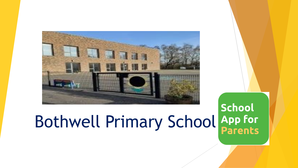

#### **School** Bothwell Primary School App for **Parents**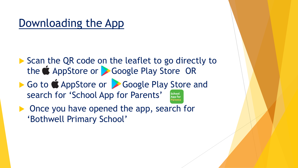#### Downloading the App

- Scan the QR code on the leaflet to go directly to the **C**AppStore or Google Play Store OR
- Go to  $\bullet$  AppStore or  $\bullet$  Google Play Store and search for 'School App for Parents' School **App for** arent
- **Once you have opened the app, search for** 'Bothwell Primary School'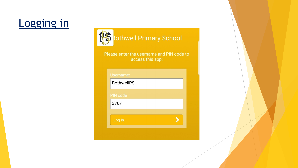# Logging in



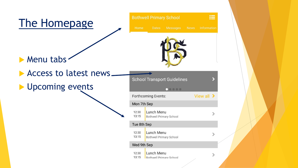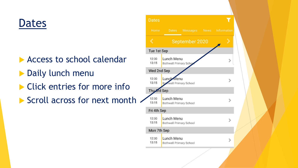# Dates

- Access to school calendar
- **Daily lunch menu**
- **Click entries for more info**
- Scroll across for next month  $\sim$

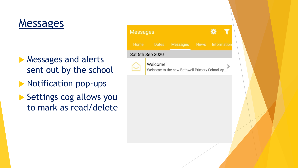#### Messages

- **Messages and alerts** sent out by the school
- **Notification pop-ups**
- Settings cog allows you to mark as read/delete

| <b>Messages</b>  |                                                           |                 |             |             |  |
|------------------|-----------------------------------------------------------|-----------------|-------------|-------------|--|
| Home             | <b>Dates</b>                                              | <b>Messages</b> | <b>News</b> | Information |  |
| Sat 5th Sep 2020 |                                                           |                 |             |             |  |
|                  | Welcome!<br>Welcome to the new Bothwell Primary School Ap |                 |             |             |  |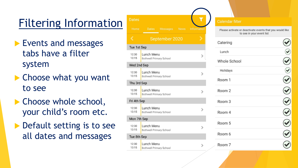# Filtering Information

- **Events and messages** tabs have a filter system
- **Choose what you want** to see
- ▶ Choose whole school, your child's room etc.
- Default setting is to see all dates and messages

| <b>Dates</b>   |                                                     |                 |             |             |
|----------------|-----------------------------------------------------|-----------------|-------------|-------------|
| Home           | <b>Dates</b>                                        | <b>Messages</b> | <b>News</b> | Information |
|                |                                                     | September 2020  |             |             |
| Tue 1st Sep    |                                                     |                 |             |             |
| 12:30<br>13:15 | Lunch Menu<br><b>Bothwell Primary School</b>        |                 |             |             |
| Wed 2nd Sep    |                                                     |                 |             |             |
| 12:30<br>13:15 | <b>Lunch Menu</b><br><b>Bothwell Primary School</b> |                 |             |             |
| Thu 3rd Sep    |                                                     |                 |             |             |
| 12:30<br>13:15 | Lunch Menu<br><b>Bothwell Primary School</b>        |                 |             |             |
| Fri 4th Sep    |                                                     |                 |             |             |
| 12:30<br>13:15 | Lunch Menu<br><b>Bothwell Primary School</b>        |                 |             |             |
| Mon 7th Sep    |                                                     |                 |             |             |
| 12:30<br>13:15 | Lunch Menu<br><b>Bothwell Primary School</b>        |                 |             |             |
| Tue 8th Sep    |                                                     |                 |             |             |
| 12:30<br>13:15 | Lunch Menu<br><b>Bothwell Primary School</b>        |                 |             |             |

#### **Calendar filter**

Please activate or deactivate events that you would like to see in your event list

| Catering            |  |
|---------------------|--|
| Lunch               |  |
| <b>Whole School</b> |  |
| Holidays            |  |
| Room 1              |  |
| Room 2              |  |
| Room <sub>3</sub>   |  |
| Room 4              |  |
| Room 5              |  |
| Room 6              |  |
| Room 7              |  |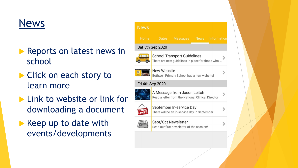# News

- Reports on latest news in school
- ▶ Click on each story to learn more
- **Link to website or link for** downloading a document
- $\blacktriangleright$  Keep up to date with events/developments

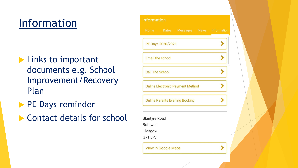### Information

- **Links to important** documents e.g. School Improvement/Recovery Plan
- **PE Days reminder**
- ▶ Contact details for school

| <b>Information</b>      |                            |                                         |                           |  |
|-------------------------|----------------------------|-----------------------------------------|---------------------------|--|
| <b>Home</b>             | <b>Dates</b>               |                                         | Messages News Information |  |
|                         | PE Days 2020/2021          |                                         |                           |  |
| <b>Email the school</b> |                            |                                         |                           |  |
| <b>Call The School</b>  |                            |                                         |                           |  |
|                         |                            | <b>Online Electronic Payment Method</b> |                           |  |
|                         |                            | <b>Online Parents Evening Booking</b>   |                           |  |
| <b>Blantyre Road</b>    |                            |                                         |                           |  |
| <b>Bothwell</b>         |                            |                                         |                           |  |
| Glasgow                 |                            |                                         |                           |  |
| G71 8PJ                 |                            |                                         |                           |  |
|                         | <b>View in Google Maps</b> |                                         |                           |  |
|                         |                            |                                         |                           |  |